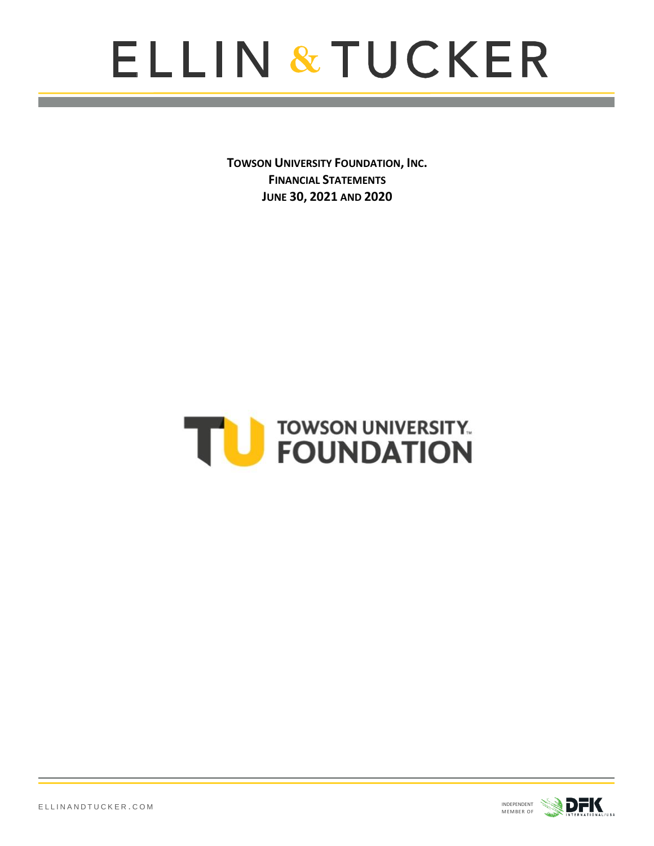

**TOWSON UNIVERSITY FOUNDATION, INC. FINANCIAL STATEMENTS JUNE 30, 2021 AND 2020**



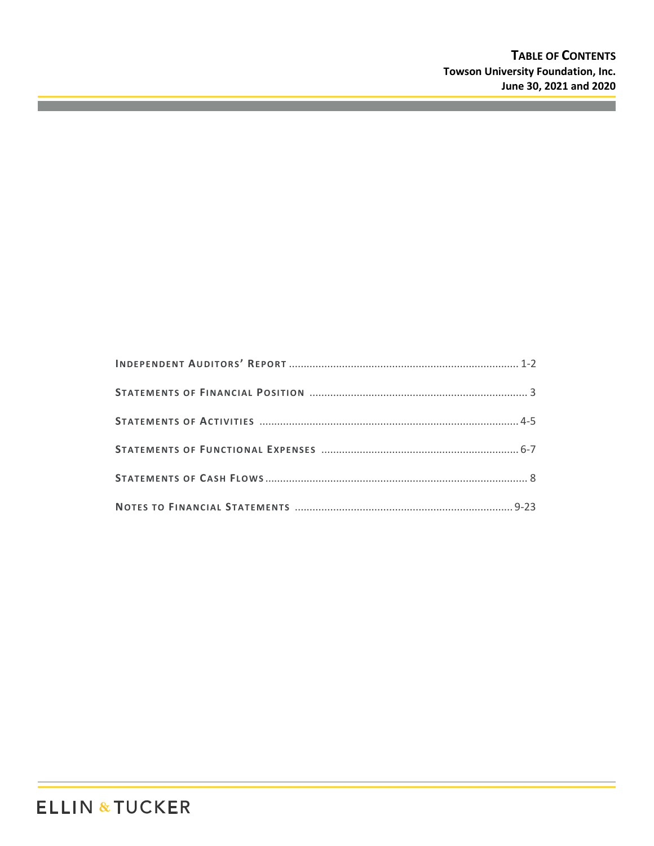m.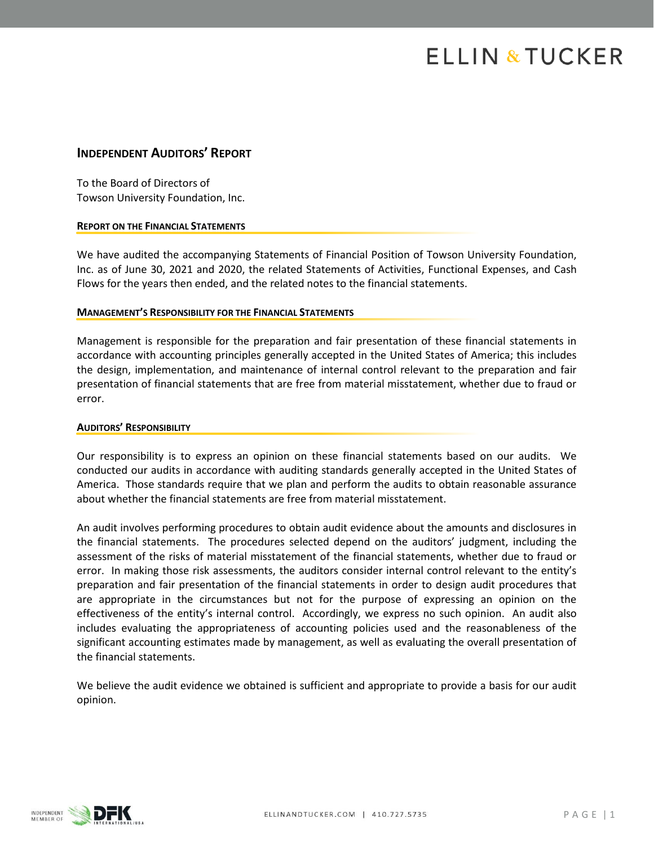# **ELLIN & TUCKER**

# **INDEPENDENT AUDITORS' REPORT**

To the Board of Directors of Towson University Foundation, Inc.

#### **REPORT ON THE FINANCIAL STATEMENTS**

We have audited the accompanying Statements of Financial Position of Towson University Foundation, Inc. as of June 30, 2021 and 2020, the related Statements of Activities, Functional Expenses, and Cash Flows for the years then ended, and the related notes to the financial statements.

#### **MANAGEMENT'S RESPONSIBILITY FOR THE FINANCIAL STATEMENTS**

Management is responsible for the preparation and fair presentation of these financial statements in accordance with accounting principles generally accepted in the United States of America; this includes the design, implementation, and maintenance of internal control relevant to the preparation and fair presentation of financial statements that are free from material misstatement, whether due to fraud or error.

#### **AUDITORS' RESPONSIBILITY**

Our responsibility is to express an opinion on these financial statements based on our audits. We conducted our audits in accordance with auditing standards generally accepted in the United States of America. Those standards require that we plan and perform the audits to obtain reasonable assurance about whether the financial statements are free from material misstatement.

An audit involves performing procedures to obtain audit evidence about the amounts and disclosures in the financial statements. The procedures selected depend on the auditors' judgment, including the assessment of the risks of material misstatement of the financial statements, whether due to fraud or error. In making those risk assessments, the auditors consider internal control relevant to the entity's preparation and fair presentation of the financial statements in order to design audit procedures that are appropriate in the circumstances but not for the purpose of expressing an opinion on the effectiveness of the entity's internal control. Accordingly, we express no such opinion. An audit also includes evaluating the appropriateness of accounting policies used and the reasonableness of the significant accounting estimates made by management, as well as evaluating the overall presentation of the financial statements.

We believe the audit evidence we obtained is sufficient and appropriate to provide a basis for our audit opinion.

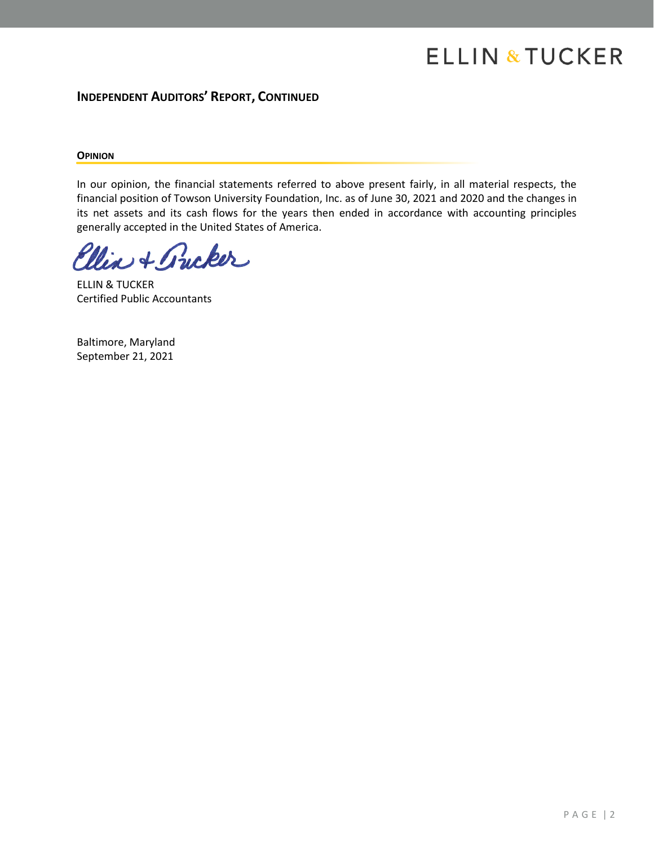# **ELLIN & TUCKER**

# **INDEPENDENT AUDITORS' REPORT, CONTINUED**

#### **OPINION**

In our opinion, the financial statements referred to above present fairly, in all material respects, the financial position of Towson University Foundation, Inc. as of June 30, 2021 and 2020 and the changes in its net assets and its cash flows for the years then ended in accordance with accounting principles generally accepted in the United States of America.

Ulia + Gucker

ELLIN & TUCKER Certified Public Accountants

Baltimore, Maryland September 21, 2021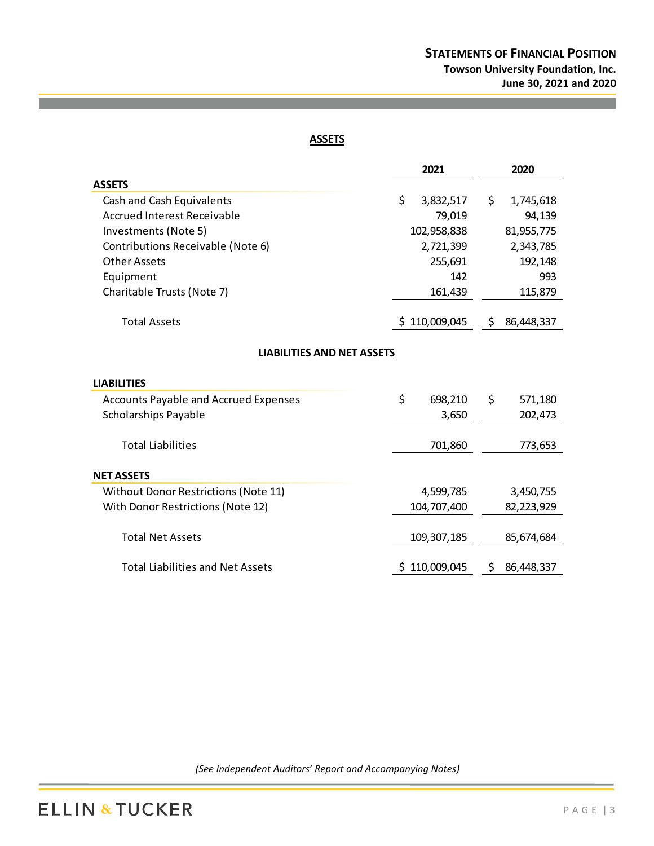# **ASSETS**

|                                              | 2021             | 2020              |  |
|----------------------------------------------|------------------|-------------------|--|
| <b>ASSETS</b>                                |                  |                   |  |
| <b>Cash and Cash Equivalents</b>             | \$<br>3,832,517  | \$<br>1,745,618   |  |
| <b>Accrued Interest Receivable</b>           | 79,019           | 94,139            |  |
| Investments (Note 5)                         | 102,958,838      | 81,955,775        |  |
| Contributions Receivable (Note 6)            | 2,721,399        | 2,343,785         |  |
| <b>Other Assets</b>                          | 255,691          | 192,148           |  |
| Equipment                                    | 142              | 993               |  |
| Charitable Trusts (Note 7)                   | 161,439          | 115,879           |  |
| <b>Total Assets</b>                          | 110,009,045<br>S | 86,448,337<br>\$. |  |
| <b>LIABILITIES AND NET ASSETS</b>            |                  |                   |  |
| <b>LIABILITIES</b>                           |                  |                   |  |
| <b>Accounts Payable and Accrued Expenses</b> | \$<br>698,210    | \$<br>571,180     |  |
| Scholarships Payable                         | 3,650            | 202,473           |  |
| <b>Total Liabilities</b>                     | 701,860          | 773,653           |  |
| <b>NET ASSETS</b>                            |                  |                   |  |
| Without Donor Restrictions (Note 11)         | 4,599,785        | 3,450,755         |  |
| With Donor Restrictions (Note 12)            | 104,707,400      | 82,223,929        |  |
| <b>Total Net Assets</b>                      | 109, 307, 185    | 85,674,684        |  |
| <b>Total Liabilities and Net Assets</b>      | \$110,009,045    | 86,448,337<br>\$  |  |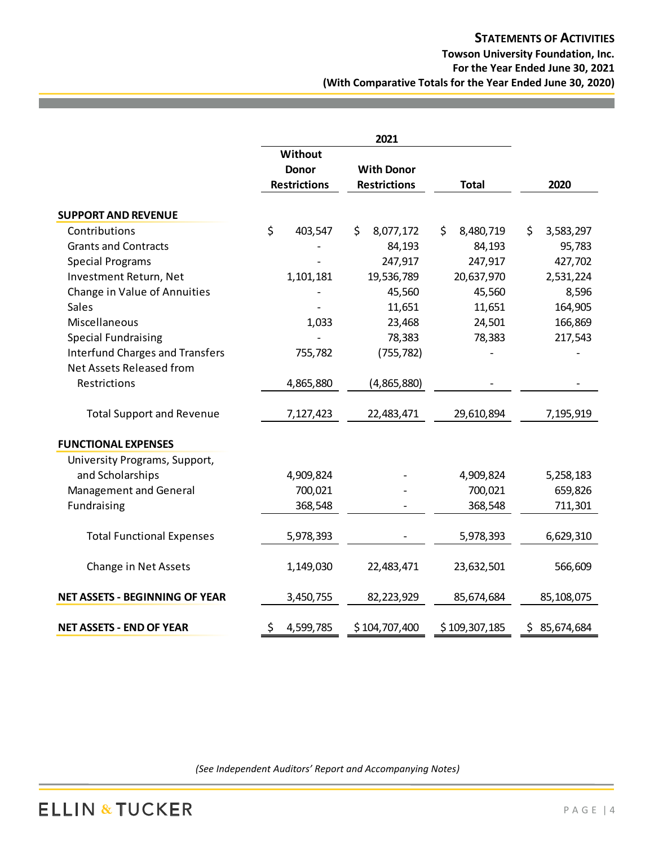|                                        | Without             |                     |                 |                   |
|----------------------------------------|---------------------|---------------------|-----------------|-------------------|
|                                        | <b>Donor</b>        | <b>With Donor</b>   |                 |                   |
|                                        | <b>Restrictions</b> | <b>Restrictions</b> | <b>Total</b>    | 2020              |
| <b>SUPPORT AND REVENUE</b>             |                     |                     |                 |                   |
| Contributions                          | \$<br>403,547       | \$<br>8,077,172     | \$<br>8,480,719 | \$<br>3,583,297   |
| <b>Grants and Contracts</b>            |                     | 84,193              | 84,193          | 95,783            |
| <b>Special Programs</b>                |                     | 247,917             | 247,917         | 427,702           |
| Investment Return, Net                 | 1,101,181           | 19,536,789          | 20,637,970      | 2,531,224         |
| Change in Value of Annuities           |                     | 45,560              | 45,560          | 8,596             |
| <b>Sales</b>                           |                     | 11,651              | 11,651          | 164,905           |
| Miscellaneous                          | 1,033               | 23,468              | 24,501          | 166,869           |
| <b>Special Fundraising</b>             |                     | 78,383              | 78,383          | 217,543           |
| <b>Interfund Charges and Transfers</b> | 755,782             | (755, 782)          |                 |                   |
| Net Assets Released from               |                     |                     |                 |                   |
| Restrictions                           | 4,865,880           | (4,865,880)         |                 |                   |
| <b>Total Support and Revenue</b>       | 7,127,423           | 22,483,471          | 29,610,894      | 7,195,919         |
| <b>FUNCTIONAL EXPENSES</b>             |                     |                     |                 |                   |
| University Programs, Support,          |                     |                     |                 |                   |
| and Scholarships                       | 4,909,824           |                     | 4,909,824       | 5,258,183         |
| Management and General                 | 700,021             |                     | 700,021         | 659,826           |
| Fundraising                            | 368,548             |                     | 368,548         | 711,301           |
| <b>Total Functional Expenses</b>       | 5,978,393           |                     | 5,978,393       | 6,629,310         |
|                                        |                     |                     |                 |                   |
| Change in Net Assets                   | 1,149,030           | 22,483,471          | 23,632,501      | 566,609           |
| <b>NET ASSETS - BEGINNING OF YEAR</b>  | 3,450,755           | 82,223,929          | 85,674,684      | 85,108,075        |
| <b>NET ASSETS - END OF YEAR</b>        | \$<br>4,599,785     | \$104,707,400       | \$109,307,185   | \$.<br>85,674,684 |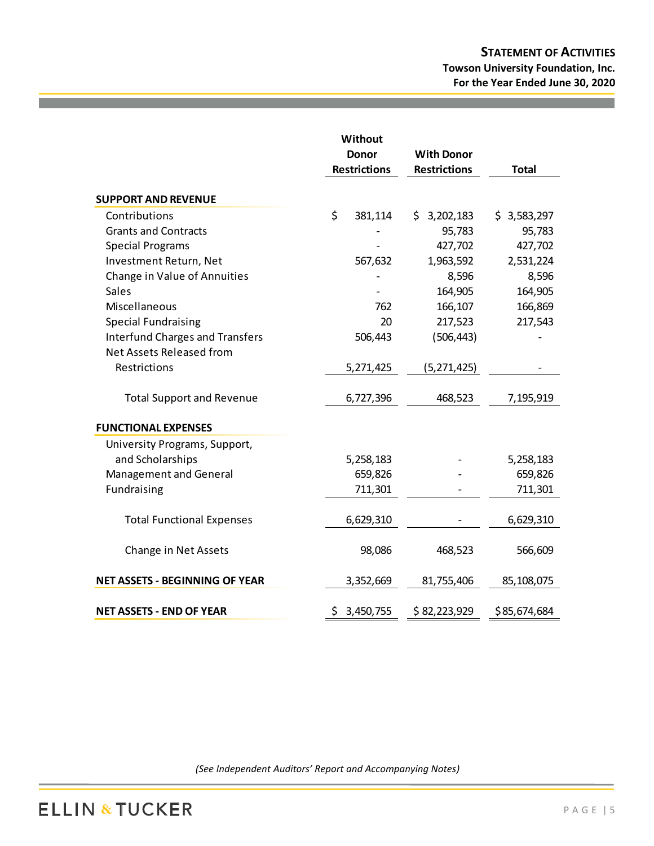|                                        | Without             |                     |              |
|----------------------------------------|---------------------|---------------------|--------------|
|                                        | <b>Donor</b>        | <b>With Donor</b>   |              |
|                                        | <b>Restrictions</b> | <b>Restrictions</b> | <b>Total</b> |
|                                        |                     |                     |              |
| <b>SUPPORT AND REVENUE</b>             |                     |                     |              |
| Contributions                          | \$<br>381,114       | \$3,202,183         | \$3,583,297  |
| <b>Grants and Contracts</b>            |                     | 95,783              | 95,783       |
| <b>Special Programs</b>                |                     | 427,702             | 427,702      |
| Investment Return, Net                 | 567,632             | 1,963,592           | 2,531,224    |
| Change in Value of Annuities           |                     | 8,596               | 8,596        |
| Sales                                  |                     | 164,905             | 164,905      |
| Miscellaneous                          | 762                 | 166,107             | 166,869      |
| <b>Special Fundraising</b>             | 20                  | 217,523             | 217,543      |
| <b>Interfund Charges and Transfers</b> | 506,443             | (506, 443)          |              |
| Net Assets Released from               |                     |                     |              |
| Restrictions                           | 5,271,425           | (5, 271, 425)       |              |
|                                        |                     |                     |              |
| <b>Total Support and Revenue</b>       | 6,727,396           | 468,523             | 7,195,919    |
| <b>FUNCTIONAL EXPENSES</b>             |                     |                     |              |
|                                        |                     |                     |              |
| University Programs, Support,          |                     |                     |              |
| and Scholarships                       | 5,258,183           |                     | 5,258,183    |
| Management and General                 | 659,826             |                     | 659,826      |
| Fundraising                            | 711,301             |                     | 711,301      |
|                                        |                     |                     |              |
| <b>Total Functional Expenses</b>       | 6,629,310           |                     | 6,629,310    |
| Change in Net Assets                   | 98,086              | 468,523             | 566,609      |
|                                        |                     |                     |              |
| <b>NET ASSETS - BEGINNING OF YEAR</b>  | 3,352,669           | 81,755,406          | 85,108,075   |
|                                        |                     |                     |              |
| <b>NET ASSETS - END OF YEAR</b>        | \$.<br>3,450,755    | \$82,223,929        | \$85,674,684 |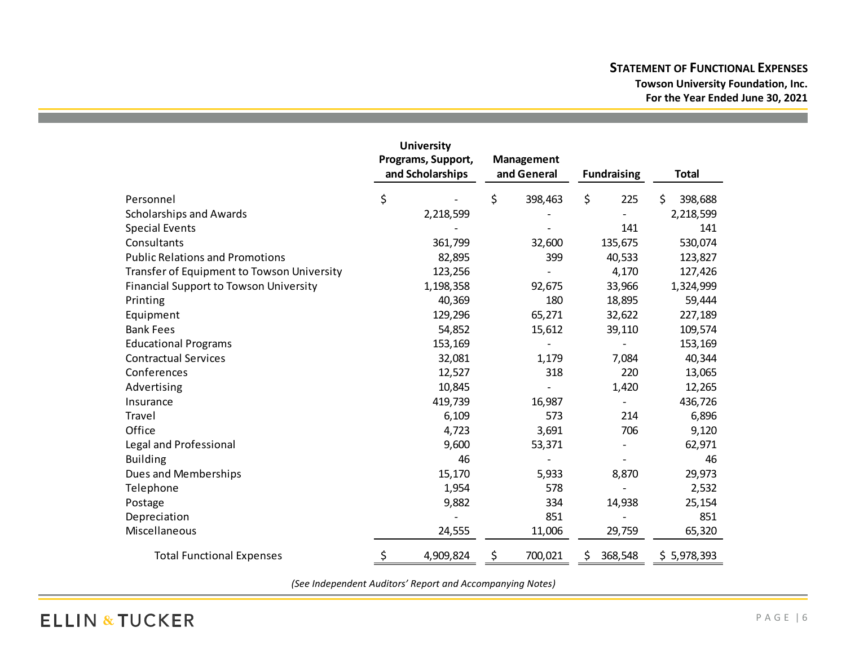|                                               | <b>University</b><br>Programs, Support, |                  | Management  |         |                    |                          |               |  |
|-----------------------------------------------|-----------------------------------------|------------------|-------------|---------|--------------------|--------------------------|---------------|--|
|                                               |                                         | and Scholarships | and General |         | <b>Fundraising</b> |                          | Total         |  |
| Personnel                                     | \$                                      |                  | \$          | 398,463 | \$                 | 225                      | \$<br>398,688 |  |
| <b>Scholarships and Awards</b>                |                                         | 2,218,599        |             |         |                    |                          | 2,218,599     |  |
| <b>Special Events</b>                         |                                         |                  |             |         |                    | 141                      | 141           |  |
| Consultants                                   |                                         | 361,799          |             | 32,600  |                    | 135,675                  | 530,074       |  |
| <b>Public Relations and Promotions</b>        |                                         | 82,895           |             | 399     |                    | 40,533                   | 123,827       |  |
| Transfer of Equipment to Towson University    |                                         | 123,256          |             |         |                    | 4,170                    | 127,426       |  |
| <b>Financial Support to Towson University</b> |                                         | 1,198,358        |             | 92,675  |                    | 33,966                   | 1,324,999     |  |
| Printing                                      |                                         | 40,369           |             | 180     |                    | 18,895                   | 59,444        |  |
| Equipment                                     |                                         | 129,296          |             | 65,271  |                    | 32,622                   | 227,189       |  |
| <b>Bank Fees</b>                              |                                         | 54,852           |             | 15,612  |                    | 39,110                   | 109,574       |  |
| <b>Educational Programs</b>                   |                                         | 153,169          |             |         |                    |                          | 153,169       |  |
| <b>Contractual Services</b>                   |                                         | 32,081           |             | 1,179   |                    | 7,084                    | 40,344        |  |
| Conferences                                   |                                         | 12,527           |             | 318     |                    | 220                      | 13,065        |  |
| Advertising                                   |                                         | 10,845           |             |         |                    | 1,420                    | 12,265        |  |
| Insurance                                     |                                         | 419,739          |             | 16,987  |                    | $\overline{\phantom{0}}$ | 436,726       |  |
| Travel                                        |                                         | 6,109            |             | 573     |                    | 214                      | 6,896         |  |
| Office                                        |                                         | 4,723            |             | 3,691   |                    | 706                      | 9,120         |  |
| Legal and Professional                        |                                         | 9,600            |             | 53,371  |                    |                          | 62,971        |  |
| <b>Building</b>                               |                                         | 46               |             |         |                    |                          | 46            |  |
| Dues and Memberships                          |                                         | 15,170           |             | 5,933   |                    | 8,870                    | 29,973        |  |
| Telephone                                     |                                         | 1,954            |             | 578     |                    |                          | 2,532         |  |
| Postage                                       |                                         | 9,882            |             | 334     |                    | 14,938                   | 25,154        |  |
| Depreciation                                  |                                         |                  |             | 851     |                    |                          | 851           |  |
| Miscellaneous                                 |                                         | 24,555           |             | 11,006  |                    | 29,759                   | 65,320        |  |
| <b>Total Functional Expenses</b>              | \$                                      | 4,909,824        | \$          | 700,021 | \$                 | 368,548                  | \$5,978,393   |  |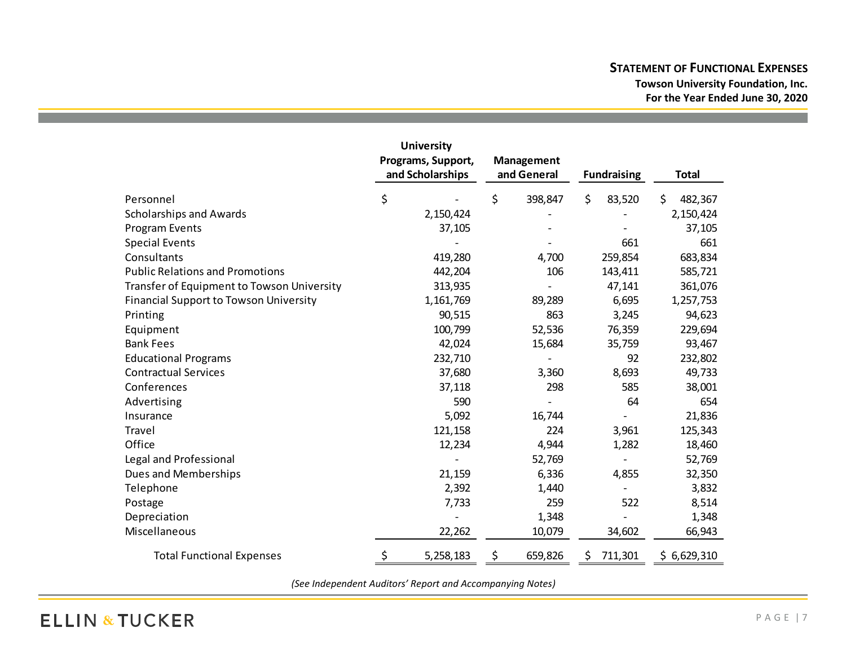|                                               |                                        | <b>University</b> |                                  |         |                    |         |               |
|-----------------------------------------------|----------------------------------------|-------------------|----------------------------------|---------|--------------------|---------|---------------|
|                                               | Programs, Support,<br>and Scholarships |                   | <b>Management</b><br>and General |         | <b>Fundraising</b> |         | <b>Total</b>  |
| Personnel                                     | \$                                     |                   | \$                               | 398,847 | \$                 | 83,520  | \$<br>482,367 |
| <b>Scholarships and Awards</b>                |                                        | 2,150,424         |                                  |         |                    |         | 2,150,424     |
| <b>Program Events</b>                         |                                        | 37,105            |                                  |         |                    |         | 37,105        |
| <b>Special Events</b>                         |                                        |                   |                                  |         |                    | 661     | 661           |
| Consultants                                   |                                        | 419,280           |                                  | 4,700   |                    | 259,854 | 683,834       |
| <b>Public Relations and Promotions</b>        |                                        | 442,204           |                                  | 106     |                    | 143,411 | 585,721       |
| Transfer of Equipment to Towson University    |                                        | 313,935           |                                  |         |                    | 47,141  | 361,076       |
| <b>Financial Support to Towson University</b> |                                        | 1,161,769         |                                  | 89,289  |                    | 6,695   | 1,257,753     |
| Printing                                      |                                        | 90,515            |                                  | 863     |                    | 3,245   | 94,623        |
| Equipment                                     |                                        | 100,799           |                                  | 52,536  |                    | 76,359  | 229,694       |
| <b>Bank Fees</b>                              |                                        | 42,024            |                                  | 15,684  |                    | 35,759  | 93,467        |
| <b>Educational Programs</b>                   |                                        | 232,710           |                                  |         |                    | 92      | 232,802       |
| <b>Contractual Services</b>                   |                                        | 37,680            |                                  | 3,360   |                    | 8,693   | 49,733        |
| Conferences                                   |                                        | 37,118            |                                  | 298     |                    | 585     | 38,001        |
| Advertising                                   |                                        | 590               |                                  |         |                    | 64      | 654           |
| Insurance                                     |                                        | 5,092             |                                  | 16,744  |                    |         | 21,836        |
| Travel                                        |                                        | 121,158           |                                  | 224     |                    | 3,961   | 125,343       |
| Office                                        |                                        | 12,234            |                                  | 4,944   |                    | 1,282   | 18,460        |
| Legal and Professional                        |                                        |                   |                                  | 52,769  |                    |         | 52,769        |
| Dues and Memberships                          |                                        | 21,159            |                                  | 6,336   |                    | 4,855   | 32,350        |
| Telephone                                     |                                        | 2,392             |                                  | 1,440   |                    |         | 3,832         |
| Postage                                       |                                        | 7,733             |                                  | 259     |                    | 522     | 8,514         |
| Depreciation                                  |                                        |                   |                                  | 1,348   |                    |         | 1,348         |
| Miscellaneous                                 |                                        | 22,262            |                                  | 10,079  |                    | 34,602  | 66,943        |
| <b>Total Functional Expenses</b>              | \$                                     | 5,258,183         | \$                               | 659,826 | Ş                  | 711,301 | \$6,629,310   |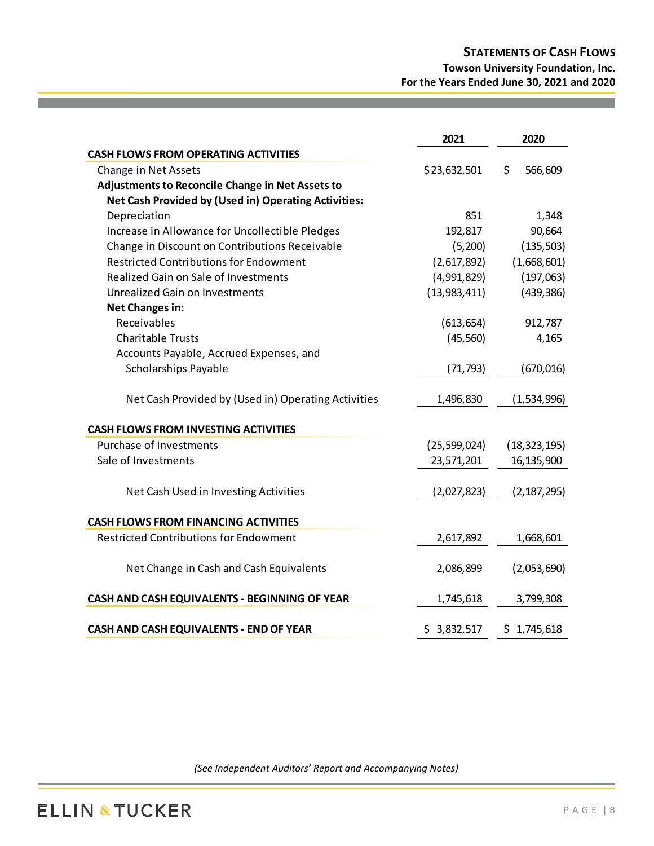|                                                      | 2021           | 2020           |
|------------------------------------------------------|----------------|----------------|
| <b>CASH FLOWS FROM OPERATING ACTIVITIES</b>          |                |                |
| Change in Net Assets                                 | \$23,632,501   | \$<br>566,609  |
| Adjustments to Reconcile Change in Net Assets to     |                |                |
| Net Cash Provided by (Used in) Operating Activities: |                |                |
| Depreciation                                         | 851            | 1,348          |
| Increase in Allowance for Uncollectible Pledges      | 192,817        | 90,664         |
| Change in Discount on Contributions Receivable       | (5,200)        | (135, 503)     |
| <b>Restricted Contributions for Endowment</b>        | (2,617,892)    | (1,668,601)    |
| <b>Realized Gain on Sale of Investments</b>          | (4,991,829)    | (197,063)      |
| Unrealized Gain on Investments                       | (13, 983, 411) | (439, 386)     |
| <b>Net Changes in:</b>                               |                |                |
| Receivables                                          | (613, 654)     | 912,787        |
| <b>Charitable Trusts</b>                             | (45, 560)      | 4,165          |
| Accounts Payable, Accrued Expenses, and              |                |                |
| Scholarships Payable                                 | (71, 793)      | (670, 016)     |
| Net Cash Provided by (Used in) Operating Activities  | 1,496,830      | (1,534,996)    |
| <b>CASH FLOWS FROM INVESTING ACTIVITIES</b>          |                |                |
| <b>Purchase of Investments</b>                       | (25, 599, 024) | (18, 323, 195) |
| Sale of Investments                                  | 23,571,201     | 16,135,900     |
| Net Cash Used in Investing Activities                | (2,027,823)    | (2, 187, 295)  |
| <b>CASH FLOWS FROM FINANCING ACTIVITIES</b>          |                |                |
| <b>Restricted Contributions for Endowment</b>        | 2,617,892      | 1,668,601      |
| Net Change in Cash and Cash Equivalents              | 2,086,899      | (2,053,690)    |
| CASH AND CASH EQUIVALENTS - BEGINNING OF YEAR        | 1,745,618      | 3,799,308      |
| CASH AND CASH EQUIVALENTS - END OF YEAR              | \$3,832,517    | \$1,745,618    |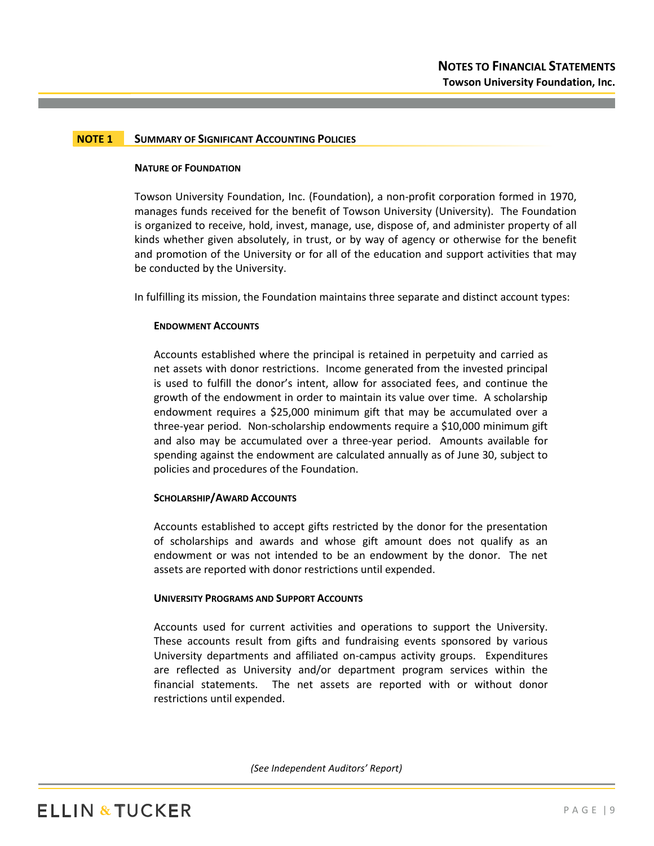#### **NOTE 1 SUMMARY OF SIGNIFICANT ACCOUNTING POLICIES**

#### **NATURE OF FOUNDATION**

Towson University Foundation, Inc. (Foundation), a non-profit corporation formed in 1970, manages funds received for the benefit of Towson University (University). The Foundation is organized to receive, hold, invest, manage, use, dispose of, and administer property of all kinds whether given absolutely, in trust, or by way of agency or otherwise for the benefit and promotion of the University or for all of the education and support activities that may be conducted by the University.

In fulfilling its mission, the Foundation maintains three separate and distinct account types:

#### **ENDOWMENT ACCOUNTS**

Accounts established where the principal is retained in perpetuity and carried as net assets with donor restrictions. Income generated from the invested principal is used to fulfill the donor's intent, allow for associated fees, and continue the growth of the endowment in order to maintain its value over time. A scholarship endowment requires a \$25,000 minimum gift that may be accumulated over a three-year period. Non-scholarship endowments require a \$10,000 minimum gift and also may be accumulated over a three-year period. Amounts available for spending against the endowment are calculated annually as of June 30, subject to policies and procedures of the Foundation.

#### **SCHOLARSHIP/AWARD ACCOUNTS**

Accounts established to accept gifts restricted by the donor for the presentation of scholarships and awards and whose gift amount does not qualify as an endowment or was not intended to be an endowment by the donor. The net assets are reported with donor restrictions until expended.

#### **UNIVERSITY PROGRAMS AND SUPPORT ACCOUNTS**

Accounts used for current activities and operations to support the University. These accounts result from gifts and fundraising events sponsored by various University departments and affiliated on-campus activity groups. Expenditures are reflected as University and/or department program services within the financial statements. The net assets are reported with or without donor restrictions until expended.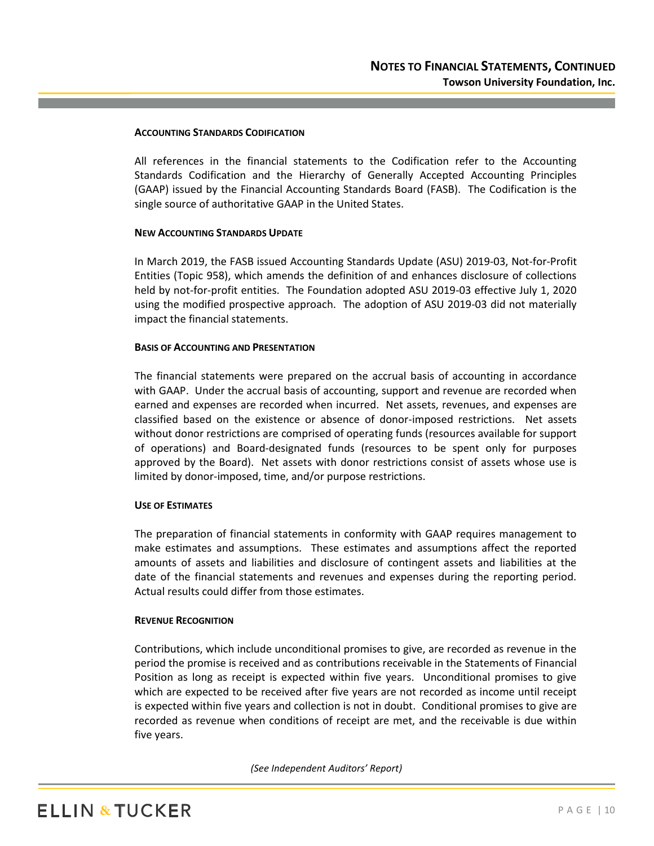#### **ACCOUNTING STANDARDS CODIFICATION**

All references in the financial statements to the Codification refer to the Accounting Standards Codification and the Hierarchy of Generally Accepted Accounting Principles (GAAP) issued by the Financial Accounting Standards Board (FASB). The Codification is the single source of authoritative GAAP in the United States.

## **NEW ACCOUNTING STANDARDS UPDATE**

In March 2019, the FASB issued Accounting Standards Update (ASU) 2019-03, Not-for-Profit Entities (Topic 958), which amends the definition of and enhances disclosure of collections held by not-for-profit entities. The Foundation adopted ASU 2019-03 effective July 1, 2020 using the modified prospective approach. The adoption of ASU 2019-03 did not materially impact the financial statements.

## **BASIS OF ACCOUNTING AND PRESENTATION**

The financial statements were prepared on the accrual basis of accounting in accordance with GAAP. Under the accrual basis of accounting, support and revenue are recorded when earned and expenses are recorded when incurred. Net assets, revenues, and expenses are classified based on the existence or absence of donor-imposed restrictions. Net assets without donor restrictions are comprised of operating funds (resources available for support of operations) and Board-designated funds (resources to be spent only for purposes approved by the Board). Net assets with donor restrictions consist of assets whose use is limited by donor-imposed, time, and/or purpose restrictions.

# **USE OF ESTIMATES**

The preparation of financial statements in conformity with GAAP requires management to make estimates and assumptions. These estimates and assumptions affect the reported amounts of assets and liabilities and disclosure of contingent assets and liabilities at the date of the financial statements and revenues and expenses during the reporting period. Actual results could differ from those estimates.

#### **REVENUE RECOGNITION**

Contributions, which include unconditional promises to give, are recorded as revenue in the period the promise is received and as contributions receivable in the Statements of Financial Position as long as receipt is expected within five years. Unconditional promises to give which are expected to be received after five years are not recorded as income until receipt is expected within five years and collection is not in doubt. Conditional promises to give are recorded as revenue when conditions of receipt are met, and the receivable is due within five years.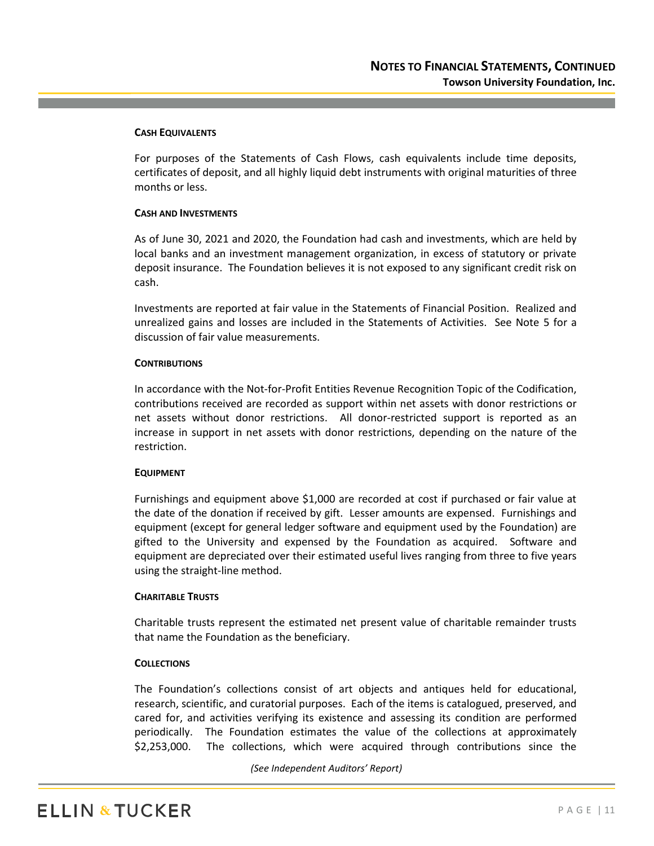## **CASH EQUIVALENTS**

For purposes of the Statements of Cash Flows, cash equivalents include time deposits, certificates of deposit, and all highly liquid debt instruments with original maturities of three months or less.

#### **CASH AND INVESTMENTS**

As of June 30, 2021 and 2020, the Foundation had cash and investments, which are held by local banks and an investment management organization, in excess of statutory or private deposit insurance. The Foundation believes it is not exposed to any significant credit risk on cash.

Investments are reported at fair value in the Statements of Financial Position. Realized and unrealized gains and losses are included in the Statements of Activities. See Note 5 for a discussion of fair value measurements.

#### **CONTRIBUTIONS**

In accordance with the Not-for-Profit Entities Revenue Recognition Topic of the Codification, contributions received are recorded as support within net assets with donor restrictions or net assets without donor restrictions. All donor-restricted support is reported as an increase in support in net assets with donor restrictions, depending on the nature of the restriction.

#### **EQUIPMENT**

Furnishings and equipment above \$1,000 are recorded at cost if purchased or fair value at the date of the donation if received by gift. Lesser amounts are expensed. Furnishings and equipment (except for general ledger software and equipment used by the Foundation) are gifted to the University and expensed by the Foundation as acquired. Software and equipment are depreciated over their estimated useful lives ranging from three to five years using the straight-line method.

#### **CHARITABLE TRUSTS**

Charitable trusts represent the estimated net present value of charitable remainder trusts that name the Foundation as the beneficiary.

#### **COLLECTIONS**

The Foundation's collections consist of art objects and antiques held for educational, research, scientific, and curatorial purposes. Each of the items is catalogued, preserved, and cared for, and activities verifying its existence and assessing its condition are performed periodically. The Foundation estimates the value of the collections at approximately \$2,253,000. The collections, which were acquired through contributions since the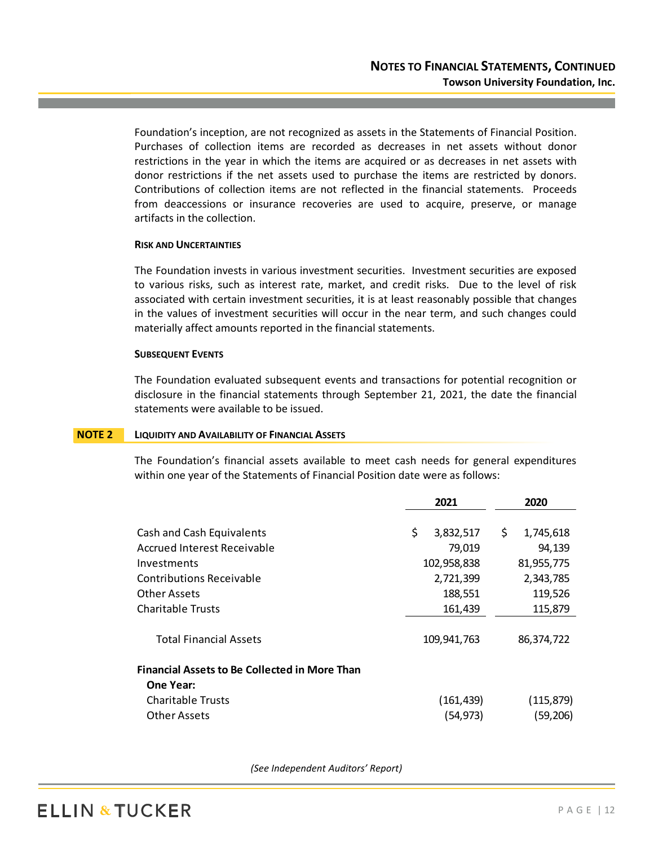Foundation's inception, are not recognized as assets in the Statements of Financial Position. Purchases of collection items are recorded as decreases in net assets without donor restrictions in the year in which the items are acquired or as decreases in net assets with donor restrictions if the net assets used to purchase the items are restricted by donors. Contributions of collection items are not reflected in the financial statements. Proceeds from deaccessions or insurance recoveries are used to acquire, preserve, or manage artifacts in the collection.

#### **RISK AND UNCERTAINTIES**

The Foundation invests in various investment securities. Investment securities are exposed to various risks, such as interest rate, market, and credit risks. Due to the level of risk associated with certain investment securities, it is at least reasonably possible that changes in the values of investment securities will occur in the near term, and such changes could materially affect amounts reported in the financial statements.

#### **SUBSEQUENT EVENTS**

The Foundation evaluated subsequent events and transactions for potential recognition or disclosure in the financial statements through September 21, 2021, the date the financial statements were available to be issued.

#### **NOTE 2 LIQUIDITY AND AVAILABILITY OF FINANCIAL ASSETS**

The Foundation's financial assets available to meet cash needs for general expenditures within one year of the Statements of Financial Position date were as follows:

|                                                                   | 2021            | 2020             |
|-------------------------------------------------------------------|-----------------|------------------|
| Cash and Cash Equivalents                                         | \$<br>3,832,517 | \$.<br>1,745,618 |
| Accrued Interest Receivable                                       | 79,019          | 94,139           |
| Investments                                                       | 102,958,838     | 81,955,775       |
| Contributions Receivable                                          | 2,721,399       | 2,343,785        |
| Other Assets                                                      | 188,551         | 119,526          |
| Charitable Trusts                                                 | 161,439         | 115,879          |
| <b>Total Financial Assets</b>                                     | 109,941,763     | 86,374,722       |
| <b>Financial Assets to Be Collected in More Than</b><br>One Year: |                 |                  |
| <b>Charitable Trusts</b>                                          | (161,439)       | (115, 879)       |
| Other Assets                                                      | (54,973)        | (59,206)         |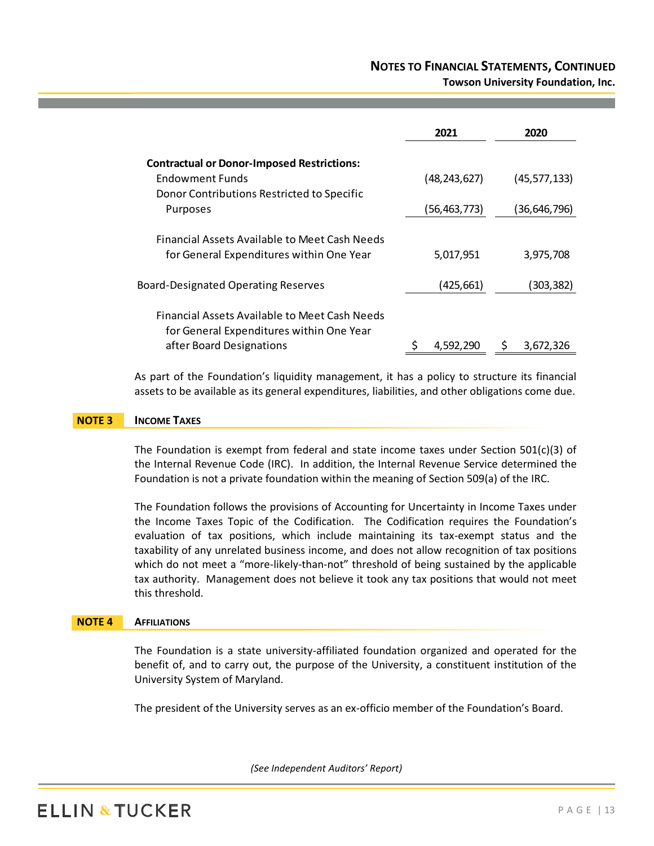# **NOTES TO FINANCIAL STATEMENTS, CONTINUED**

| Towson University Foundation, Inc. |  |
|------------------------------------|--|
|------------------------------------|--|

|                                                                                           | 2021           | 2020           |
|-------------------------------------------------------------------------------------------|----------------|----------------|
| <b>Contractual or Donor-Imposed Restrictions:</b><br>Endowment Funds                      | (48, 243, 627) | (45, 577, 133) |
| Donor Contributions Restricted to Specific<br>Purposes                                    | (56, 463, 773) | (36,646,796)   |
| Financial Assets Available to Meet Cash Needs                                             |                |                |
| for General Expenditures within One Year                                                  | 5,017,951      | 3,975,708      |
| <b>Board-Designated Operating Reserves</b>                                                | (425, 661)     | (303,382)      |
| Financial Assets Available to Meet Cash Needs<br>for General Expenditures within One Year |                |                |
| after Board Designations                                                                  | 4,592,290      | 3,672,326      |

As part of the Foundation's liquidity management, it has a policy to structure its financial assets to be available as its general expenditures, liabilities, and other obligations come due.

#### **NOTE 3 INCOME TAXES**

The Foundation is exempt from federal and state income taxes under Section 501(c)(3) of the Internal Revenue Code (IRC). In addition, the Internal Revenue Service determined the Foundation is not a private foundation within the meaning of Section 509(a) of the IRC.

The Foundation follows the provisions of Accounting for Uncertainty in Income Taxes under the Income Taxes Topic of the Codification. The Codification requires the Foundation's evaluation of tax positions, which include maintaining its tax-exempt status and the taxability of any unrelated business income, and does not allow recognition of tax positions which do not meet a "more-likely-than-not" threshold of being sustained by the applicable tax authority. Management does not believe it took any tax positions that would not meet this threshold.

#### **NOTE 4 AFFILIATIONS**

The Foundation is a state university-affiliated foundation organized and operated for the benefit of, and to carry out, the purpose of the University, a constituent institution of the University System of Maryland.

The president of the University serves as an ex-officio member of the Foundation's Board.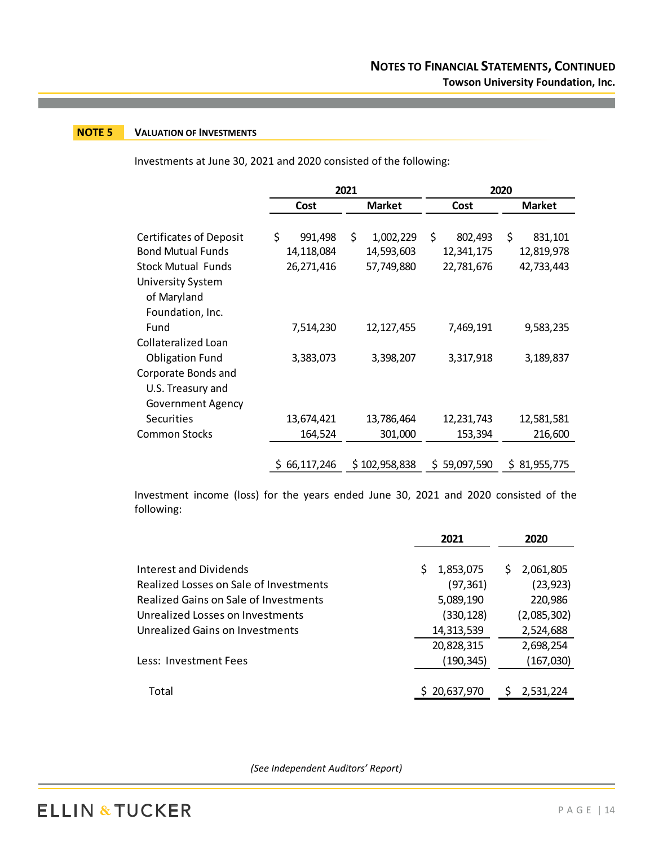# **NOTE 5 VALUATION OF INVESTMENTS**

Investments at June 30, 2021 and 2020 consisted of the following:

|                                | 2021          |    | 2020          |    |              |    |               |
|--------------------------------|---------------|----|---------------|----|--------------|----|---------------|
|                                | Cost          |    | <b>Market</b> |    | Cost         |    | <b>Market</b> |
|                                |               |    |               |    |              |    |               |
| <b>Certificates of Deposit</b> | \$<br>991,498 | S. | 1,002,229     | \$ | 802,493      | \$ | 831,101       |
| <b>Bond Mutual Funds</b>       | 14,118,084    |    | 14,593,603    |    | 12,341,175   |    | 12,819,978    |
| <b>Stock Mutual Funds</b>      | 26,271,416    |    | 57,749,880    |    | 22,781,676   |    | 42,733,443    |
| <b>University System</b>       |               |    |               |    |              |    |               |
| of Maryland                    |               |    |               |    |              |    |               |
| Foundation, Inc.               |               |    |               |    |              |    |               |
| Fund                           | 7,514,230     |    | 12,127,455    |    | 7,469,191    |    | 9,583,235     |
| Collateralized Loan            |               |    |               |    |              |    |               |
| <b>Obligation Fund</b>         | 3,383,073     |    | 3,398,207     |    | 3,317,918    |    | 3,189,837     |
| Corporate Bonds and            |               |    |               |    |              |    |               |
| U.S. Treasury and              |               |    |               |    |              |    |               |
| <b>Government Agency</b>       |               |    |               |    |              |    |               |
| Securities                     | 13,674,421    |    | 13,786,464    |    | 12, 231, 743 |    | 12,581,581    |
| <b>Common Stocks</b>           | 164,524       |    | 301,000       |    | 153,394      |    | 216,600       |
|                                |               |    |               |    |              |    |               |
|                                | \$66,117,246  |    | \$102,958,838 |    | \$59,097,590 |    | \$31,955,775  |

Investment income (loss) for the years ended June 30, 2021 and 2020 consisted of the following:

|                                        | 2021            | 2020           |
|----------------------------------------|-----------------|----------------|
|                                        |                 |                |
| Interest and Dividends                 | 1,853,075<br>S. | 2,061,805<br>S |
| Realized Losses on Sale of Investments | (97,361)        | (23, 923)      |
| Realized Gains on Sale of Investments  | 5,089,190       | 220,986        |
| Unrealized Losses on Investments       | (330,128)       | (2,085,302)    |
| Unrealized Gains on Investments        | 14,313,539      | 2,524,688      |
|                                        | 20,828,315      | 2,698,254      |
| Less: Investment Fees                  | (190,345)       | (167, 030)     |
|                                        |                 |                |
| Total                                  | 20,637,970      | 2,531,224      |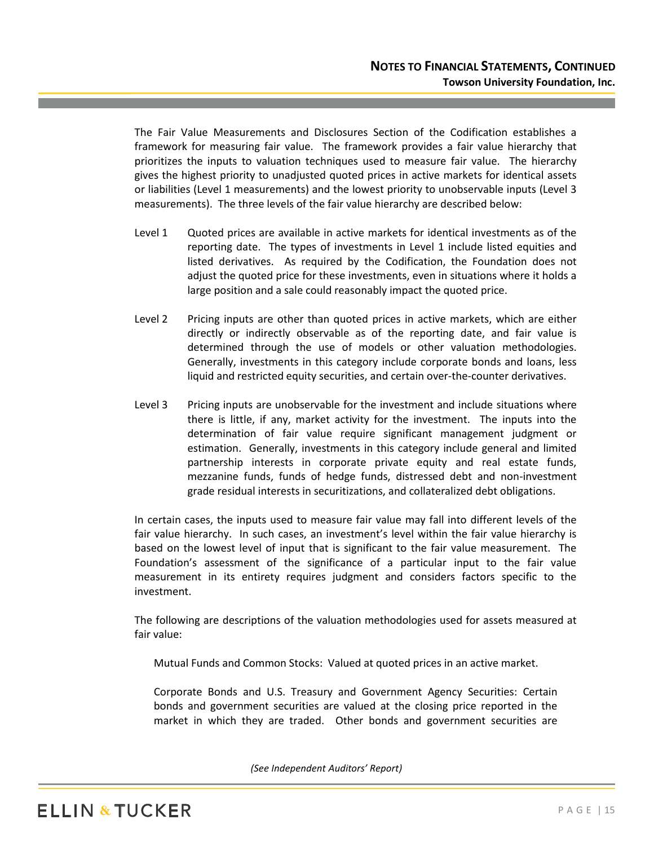The Fair Value Measurements and Disclosures Section of the Codification establishes a framework for measuring fair value. The framework provides a fair value hierarchy that prioritizes the inputs to valuation techniques used to measure fair value. The hierarchy gives the highest priority to unadjusted quoted prices in active markets for identical assets or liabilities (Level 1 measurements) and the lowest priority to unobservable inputs (Level 3 measurements). The three levels of the fair value hierarchy are described below:

- Level 1 Quoted prices are available in active markets for identical investments as of the reporting date. The types of investments in Level 1 include listed equities and listed derivatives. As required by the Codification, the Foundation does not adjust the quoted price for these investments, even in situations where it holds a large position and a sale could reasonably impact the quoted price.
- Level 2 Pricing inputs are other than quoted prices in active markets, which are either directly or indirectly observable as of the reporting date, and fair value is determined through the use of models or other valuation methodologies. Generally, investments in this category include corporate bonds and loans, less liquid and restricted equity securities, and certain over-the-counter derivatives.
- Level 3 Pricing inputs are unobservable for the investment and include situations where there is little, if any, market activity for the investment. The inputs into the determination of fair value require significant management judgment or estimation. Generally, investments in this category include general and limited partnership interests in corporate private equity and real estate funds, mezzanine funds, funds of hedge funds, distressed debt and non-investment grade residual interests in securitizations, and collateralized debt obligations.

In certain cases, the inputs used to measure fair value may fall into different levels of the fair value hierarchy. In such cases, an investment's level within the fair value hierarchy is based on the lowest level of input that is significant to the fair value measurement. The Foundation's assessment of the significance of a particular input to the fair value measurement in its entirety requires judgment and considers factors specific to the investment.

The following are descriptions of the valuation methodologies used for assets measured at fair value:

Mutual Funds and Common Stocks: Valued at quoted prices in an active market.

Corporate Bonds and U.S. Treasury and Government Agency Securities: Certain bonds and government securities are valued at the closing price reported in the market in which they are traded. Other bonds and government securities are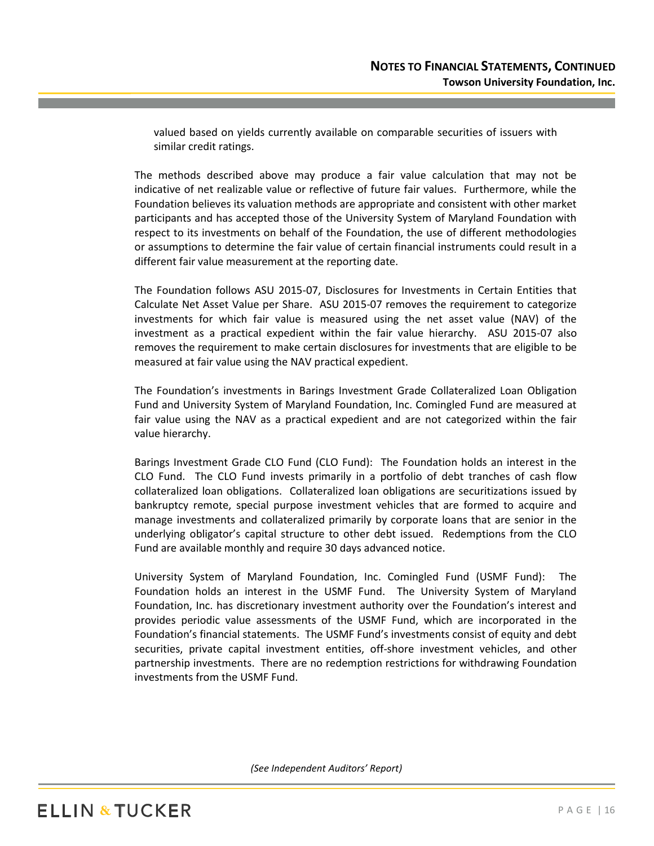valued based on yields currently available on comparable securities of issuers with similar credit ratings.

The methods described above may produce a fair value calculation that may not be indicative of net realizable value or reflective of future fair values. Furthermore, while the Foundation believes its valuation methods are appropriate and consistent with other market participants and has accepted those of the University System of Maryland Foundation with respect to its investments on behalf of the Foundation, the use of different methodologies or assumptions to determine the fair value of certain financial instruments could result in a different fair value measurement at the reporting date.

The Foundation follows ASU 2015-07, Disclosures for Investments in Certain Entities that Calculate Net Asset Value per Share. ASU 2015-07 removes the requirement to categorize investments for which fair value is measured using the net asset value (NAV) of the investment as a practical expedient within the fair value hierarchy. ASU 2015-07 also removes the requirement to make certain disclosures for investments that are eligible to be measured at fair value using the NAV practical expedient.

The Foundation's investments in Barings Investment Grade Collateralized Loan Obligation Fund and University System of Maryland Foundation, Inc. Comingled Fund are measured at fair value using the NAV as a practical expedient and are not categorized within the fair value hierarchy.

Barings Investment Grade CLO Fund (CLO Fund): The Foundation holds an interest in the CLO Fund. The CLO Fund invests primarily in a portfolio of debt tranches of cash flow collateralized loan obligations. Collateralized loan obligations are securitizations issued by bankruptcy remote, special purpose investment vehicles that are formed to acquire and manage investments and collateralized primarily by corporate loans that are senior in the underlying obligator's capital structure to other debt issued. Redemptions from the CLO Fund are available monthly and require 30 days advanced notice.

University System of Maryland Foundation, Inc. Comingled Fund (USMF Fund): The Foundation holds an interest in the USMF Fund. The University System of Maryland Foundation, Inc. has discretionary investment authority over the Foundation's interest and provides periodic value assessments of the USMF Fund, which are incorporated in the Foundation's financial statements. The USMF Fund's investments consist of equity and debt securities, private capital investment entities, off-shore investment vehicles, and other partnership investments. There are no redemption restrictions for withdrawing Foundation investments from the USMF Fund.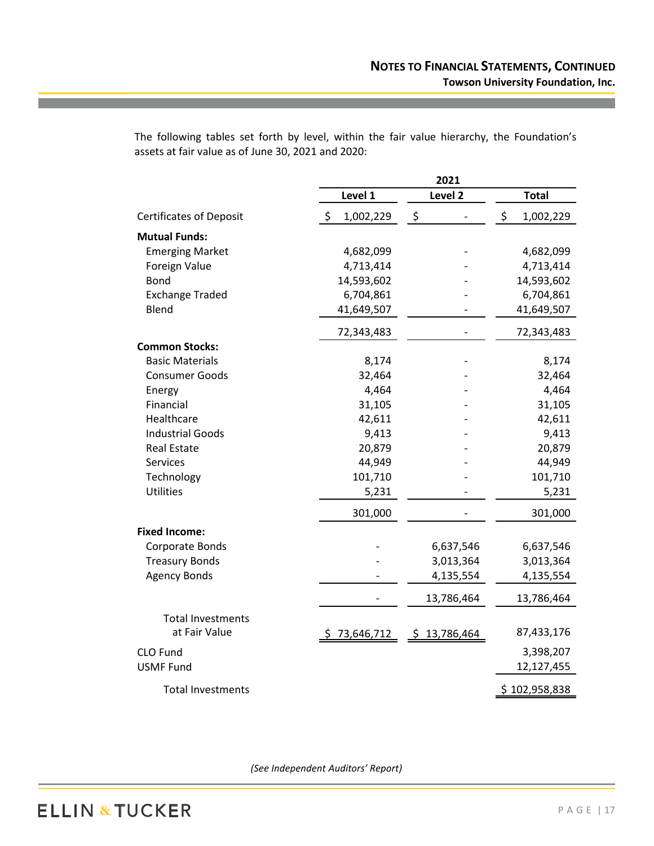|                                |                            | 2021         |                 |  |
|--------------------------------|----------------------------|--------------|-----------------|--|
|                                | Level 1                    | Level 2      | <b>Total</b>    |  |
| <b>Certificates of Deposit</b> | $\ddot{\phi}$<br>1,002,229 | - \$         | \$<br>1,002,229 |  |
| <b>Mutual Funds:</b>           |                            |              |                 |  |
| <b>Emerging Market</b>         | 4,682,099                  |              | 4,682,099       |  |
| Foreign Value                  | 4,713,414                  |              | 4,713,414       |  |
| <b>Bond</b>                    | 14,593,602                 |              | 14,593,602      |  |
| <b>Exchange Traded</b>         | 6,704,861                  |              | 6,704,861       |  |
| Blend                          | 41,649,507                 |              | 41,649,507      |  |
|                                | 72,343,483                 |              | 72,343,483      |  |
| <b>Common Stocks:</b>          |                            |              |                 |  |
| <b>Basic Materials</b>         | 8,174                      |              | 8,174           |  |
| <b>Consumer Goods</b>          | 32,464                     |              | 32,464          |  |
| Energy                         | 4,464                      |              | 4,464           |  |
| Financial                      | 31,105                     |              | 31,105          |  |
| Healthcare                     | 42,611                     |              | 42,611          |  |
| <b>Industrial Goods</b>        | 9,413                      |              | 9,413           |  |
| <b>Real Estate</b>             | 20,879                     |              | 20,879          |  |
| <b>Services</b>                | 44,949                     |              | 44,949          |  |
| Technology                     | 101,710                    |              | 101,710         |  |
| Utilities                      | 5,231                      |              | 5,231           |  |
|                                | 301,000                    |              | 301,000         |  |
| <b>Fixed Income:</b>           |                            |              |                 |  |
| Corporate Bonds                |                            | 6,637,546    | 6,637,546       |  |
| <b>Treasury Bonds</b>          |                            | 3,013,364    | 3,013,364       |  |
| <b>Agency Bonds</b>            |                            | 4,135,554    | 4,135,554       |  |
|                                |                            | 13,786,464   | 13,786,464      |  |
| <b>Total Investments</b>       |                            |              |                 |  |
| at Fair Value                  | \$73,646,712               | \$13,786,464 | 87,433,176      |  |
| CLO Fund                       |                            |              | 3,398,207       |  |
| <b>USMF Fund</b>               |                            |              | 12,127,455      |  |
| <b>Total Investments</b>       |                            |              | \$102,958,838   |  |

The following tables set forth by level, within the fair value hierarchy, the Foundation's assets at fair value as of June 30, 2021 and 2020: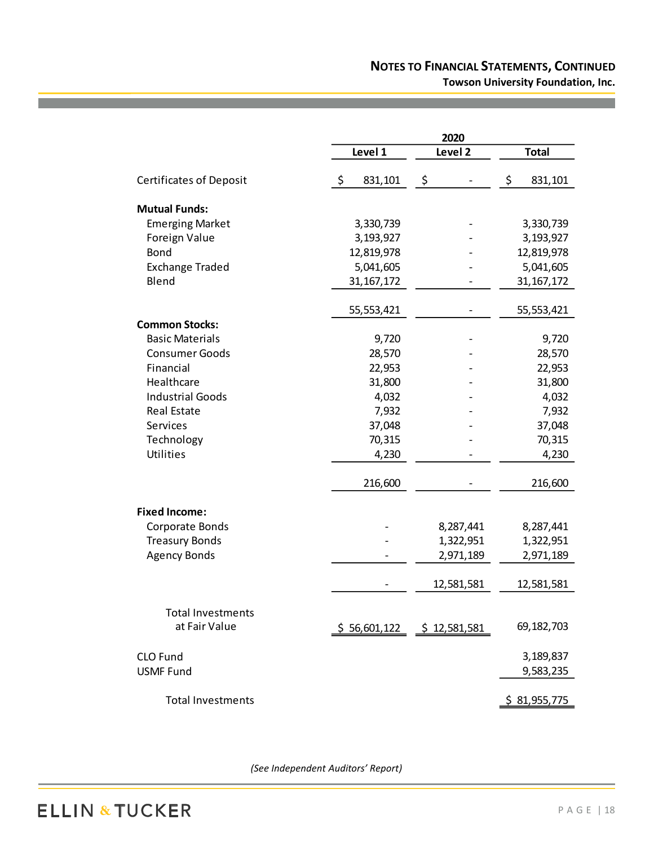# **NOTES TO FINANCIAL STATEMENTS, CONTINUED Towson University Foundation, Inc.**

|                                    | 2020          |    |                    |    |              |
|------------------------------------|---------------|----|--------------------|----|--------------|
|                                    | Level 1       |    | Level <sub>2</sub> |    | <b>Total</b> |
| Certificates of Deposit            | \$<br>831,101 | \$ |                    | \$ | 831,101      |
| <b>Mutual Funds:</b>               |               |    |                    |    |              |
| <b>Emerging Market</b>             | 3,330,739     |    |                    |    | 3,330,739    |
| Foreign Value                      | 3,193,927     |    |                    |    | 3,193,927    |
| <b>Bond</b>                        | 12,819,978    |    |                    |    | 12,819,978   |
| <b>Exchange Traded</b>             | 5,041,605     |    |                    |    | 5,041,605    |
| Blend                              | 31, 167, 172  |    |                    |    | 31, 167, 172 |
|                                    | 55,553,421    |    |                    |    | 55,553,421   |
| <b>Common Stocks:</b>              |               |    |                    |    |              |
| <b>Basic Materials</b>             | 9,720         |    |                    |    | 9,720        |
| <b>Consumer Goods</b>              | 28,570        |    |                    |    | 28,570       |
| Financial                          | 22,953        |    |                    |    | 22,953       |
| Healthcare                         | 31,800        |    |                    |    | 31,800       |
| <b>Industrial Goods</b>            | 4,032         |    |                    |    | 4,032        |
| <b>Real Estate</b>                 | 7,932         |    |                    |    | 7,932        |
| Services                           | 37,048        |    |                    |    | 37,048       |
| Technology                         | 70,315        |    |                    |    | 70,315       |
| <b>Utilities</b>                   | 4,230         |    |                    |    | 4,230        |
|                                    | 216,600       |    |                    |    | 216,600      |
| <b>Fixed Income:</b>               |               |    |                    |    |              |
| Corporate Bonds                    |               |    | 8,287,441          |    | 8,287,441    |
| <b>Treasury Bonds</b>              |               |    | 1,322,951          |    | 1,322,951    |
| <b>Agency Bonds</b>                |               |    | 2,971,189          |    | 2,971,189    |
|                                    |               |    | 12,581,581         |    | 12,581,581   |
| Total Investments<br>at Fair Value | \$56,601,122  |    | \$12,581,581       |    | 69,182,703   |
| <b>CLO Fund</b>                    |               |    |                    |    | 3,189,837    |
| <b>USMF Fund</b>                   |               |    |                    |    | 9,583,235    |
| <b>Total Investments</b>           |               |    |                    |    | \$81,955,775 |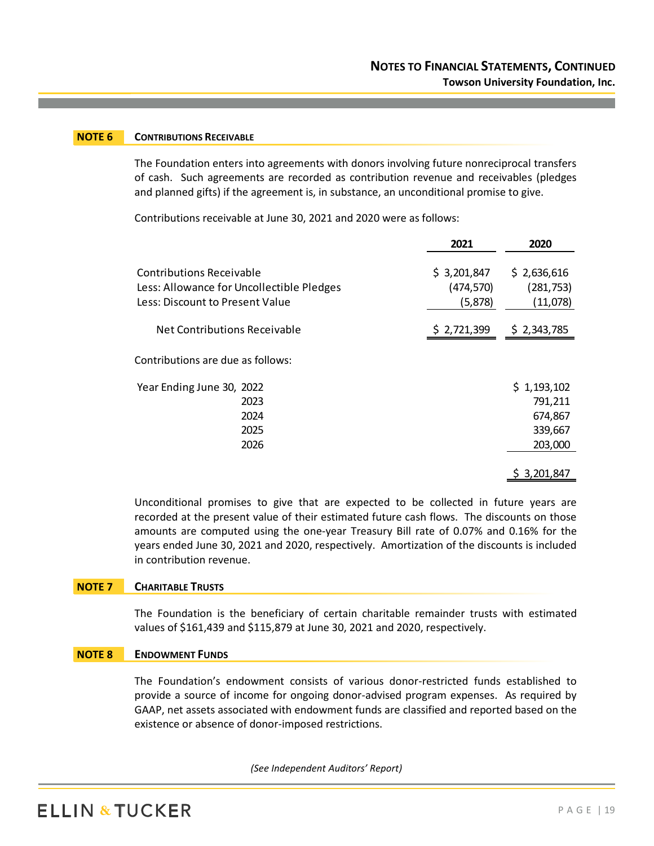#### **NOTE 6 CONTRIBUTIONS RECEIVABLE**

The Foundation enters into agreements with donors involving future nonreciprocal transfers of cash. Such agreements are recorded as contribution revenue and receivables (pledges and planned gifts) if the agreement is, in substance, an unconditional promise to give.

Contributions receivable at June 30, 2021 and 2020 were as follows:

|                                                                                                                 | 2021                                 | 2020                                                    |
|-----------------------------------------------------------------------------------------------------------------|--------------------------------------|---------------------------------------------------------|
| <b>Contributions Receivable</b><br>Less: Allowance for Uncollectible Pledges<br>Less: Discount to Present Value | \$3,201,847<br>(474, 570)<br>(5,878) | \$2,636,616<br>(281, 753)<br>(11,078)                   |
| Net Contributions Receivable                                                                                    | \$2,721,399                          | \$2,343,785                                             |
| Contributions are due as follows:                                                                               |                                      |                                                         |
| Year Ending June 30, 2022<br>2023<br>2024<br>2025<br>2026                                                       |                                      | \$1,193,102<br>791,211<br>674,867<br>339,667<br>203,000 |
|                                                                                                                 |                                      | \$3,201,847                                             |

Unconditional promises to give that are expected to be collected in future years are recorded at the present value of their estimated future cash flows. The discounts on those amounts are computed using the one-year Treasury Bill rate of 0.07% and 0.16% for the years ended June 30, 2021 and 2020, respectively. Amortization of the discounts is included in contribution revenue.

# **NOTE 7 CHARITABLE TRUSTS**

The Foundation is the beneficiary of certain charitable remainder trusts with estimated values of \$161,439 and \$115,879 at June 30, 2021 and 2020, respectively.

#### **NOTE 8 ENDOWMENT FUNDS**

The Foundation's endowment consists of various donor-restricted funds established to provide a source of income for ongoing donor-advised program expenses. As required by GAAP, net assets associated with endowment funds are classified and reported based on the existence or absence of donor-imposed restrictions.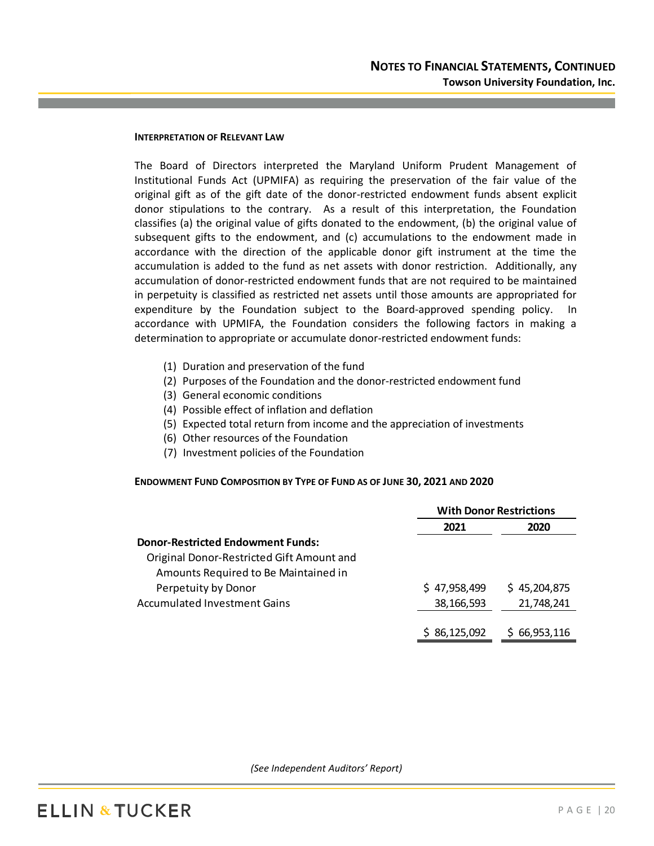#### **INTERPRETATION OF RELEVANT LAW**

The Board of Directors interpreted the Maryland Uniform Prudent Management of Institutional Funds Act (UPMIFA) as requiring the preservation of the fair value of the original gift as of the gift date of the donor-restricted endowment funds absent explicit donor stipulations to the contrary. As a result of this interpretation, the Foundation classifies (a) the original value of gifts donated to the endowment, (b) the original value of subsequent gifts to the endowment, and (c) accumulations to the endowment made in accordance with the direction of the applicable donor gift instrument at the time the accumulation is added to the fund as net assets with donor restriction. Additionally, any accumulation of donor-restricted endowment funds that are not required to be maintained in perpetuity is classified as restricted net assets until those amounts are appropriated for expenditure by the Foundation subject to the Board-approved spending policy. In accordance with UPMIFA, the Foundation considers the following factors in making a determination to appropriate or accumulate donor-restricted endowment funds:

- (1) Duration and preservation of the fund
- (2) Purposes of the Foundation and the donor-restricted endowment fund
- (3) General economic conditions
- (4) Possible effect of inflation and deflation
- (5) Expected total return from income and the appreciation of investments
- (6) Other resources of the Foundation
- (7) Investment policies of the Foundation

#### **ENDOWMENT FUND COMPOSITION BY TYPE OF FUND AS OF JUNE 30, 2021 AND 2020**

|                                           | <b>With Donor Restrictions</b> |              |  |
|-------------------------------------------|--------------------------------|--------------|--|
|                                           | 2021                           | 2020         |  |
| <b>Donor-Restricted Endowment Funds:</b>  |                                |              |  |
| Original Donor-Restricted Gift Amount and |                                |              |  |
| Amounts Required to Be Maintained in      |                                |              |  |
| Perpetuity by Donor                       | \$47,958,499                   | \$45,204,875 |  |
| <b>Accumulated Investment Gains</b>       | 38,166,593                     | 21,748,241   |  |
|                                           | \$86,125,092                   | \$66,953,116 |  |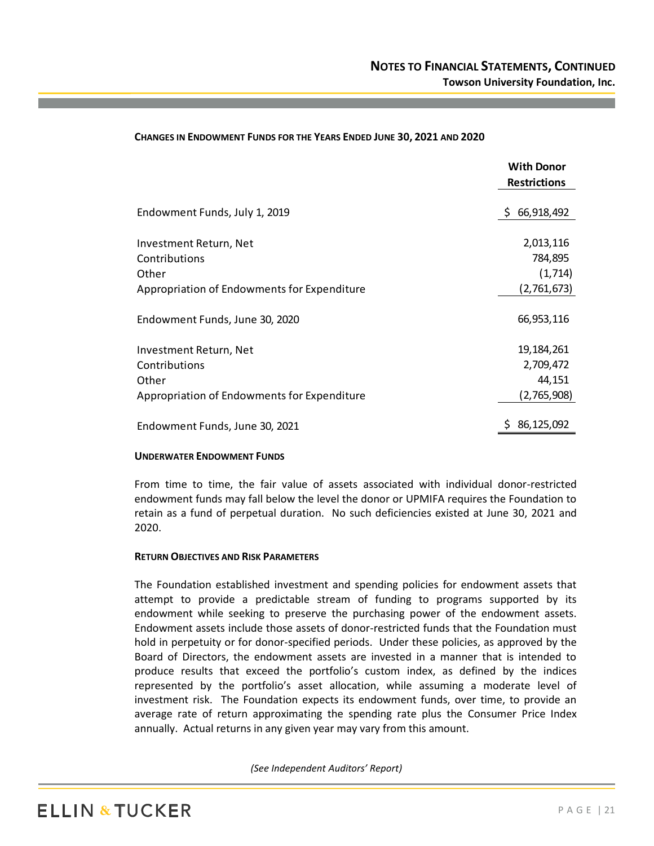|                                             | <b>With Donor</b><br><b>Restrictions</b> |
|---------------------------------------------|------------------------------------------|
| Endowment Funds, July 1, 2019               | 66,918,492<br>S.                         |
| Investment Return, Net                      | 2,013,116                                |
| Contributions                               | 784,895                                  |
| Other                                       | (1,714)                                  |
| Appropriation of Endowments for Expenditure | (2,761,673)                              |
| Endowment Funds, June 30, 2020              | 66,953,116                               |
| Investment Return, Net                      | 19,184,261                               |
| Contributions                               | 2,709,472                                |
| Other                                       | 44,151                                   |
| Appropriation of Endowments for Expenditure | (2,765,908)                              |
| Endowment Funds, June 30, 2021              | 86,125,092                               |

## **CHANGES IN ENDOWMENT FUNDS FOR THE YEARS ENDED JUNE 30, 2021 AND 2020**

#### **UNDERWATER ENDOWMENT FUNDS**

From time to time, the fair value of assets associated with individual donor-restricted endowment funds may fall below the level the donor or UPMIFA requires the Foundation to retain as a fund of perpetual duration. No such deficiencies existed at June 30, 2021 and 2020.

#### **RETURN OBJECTIVES AND RISK PARAMETERS**

The Foundation established investment and spending policies for endowment assets that attempt to provide a predictable stream of funding to programs supported by its endowment while seeking to preserve the purchasing power of the endowment assets. Endowment assets include those assets of donor-restricted funds that the Foundation must hold in perpetuity or for donor-specified periods. Under these policies, as approved by the Board of Directors, the endowment assets are invested in a manner that is intended to produce results that exceed the portfolio's custom index, as defined by the indices represented by the portfolio's asset allocation, while assuming a moderate level of investment risk. The Foundation expects its endowment funds, over time, to provide an average rate of return approximating the spending rate plus the Consumer Price Index annually. Actual returns in any given year may vary from this amount.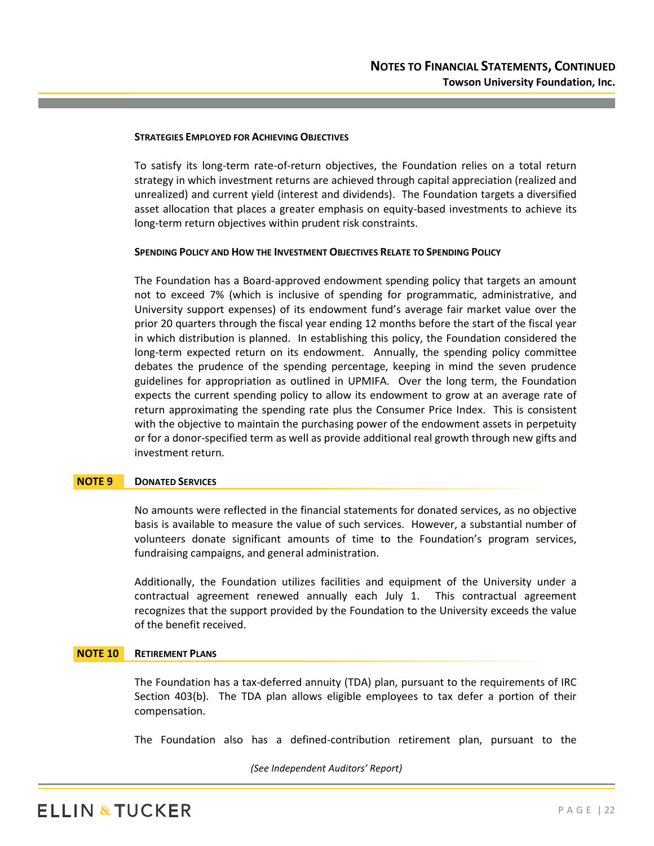#### **STRATEGIES EMPLOYED FOR ACHIEVING OBJECTIVES**

To satisfy its long-term rate-of-return objectives, the Foundation relies on a total return strategy in which investment returns are achieved through capital appreciation (realized and unrealized) and current yield (interest and dividends). The Foundation targets a diversified asset allocation that places a greater emphasis on equity-based investments to achieve its long-term return objectives within prudent risk constraints.

#### **SPENDING POLICY AND HOW THE INVESTMENT OBJECTIVES RELATE TO SPENDING POLICY**

The Foundation has a Board-approved endowment spending policy that targets an amount not to exceed 7% (which is inclusive of spending for programmatic, administrative, and University support expenses) of its endowment fund's average fair market value over the prior 20 quarters through the fiscal year ending 12 months before the start of the fiscal year in which distribution is planned. In establishing this policy, the Foundation considered the long-term expected return on its endowment. Annually, the spending policy committee debates the prudence of the spending percentage, keeping in mind the seven prudence guidelines for appropriation as outlined in UPMIFA. Over the long term, the Foundation expects the current spending policy to allow its endowment to grow at an average rate of return approximating the spending rate plus the Consumer Price Index. This is consistent with the objective to maintain the purchasing power of the endowment assets in perpetuity or for a donor-specified term as well as provide additional real growth through new gifts and investment return.

#### **NOTE 9 DONATED SERVICES**

No amounts were reflected in the financial statements for donated services, as no objective basis is available to measure the value of such services. However, a substantial number of volunteers donate significant amounts of time to the Foundation's program services, fundraising campaigns, and general administration.

Additionally, the Foundation utilizes facilities and equipment of the University under a contractual agreement renewed annually each July 1. This contractual agreement recognizes that the support provided by the Foundation to the University exceeds the value of the benefit received.

# **NOTE 10 RETIREMENT PLANS**

The Foundation has a tax-deferred annuity (TDA) plan, pursuant to the requirements of IRC Section 403(b). The TDA plan allows eligible employees to tax defer a portion of their compensation.

The Foundation also has a defined-contribution retirement plan, pursuant to the